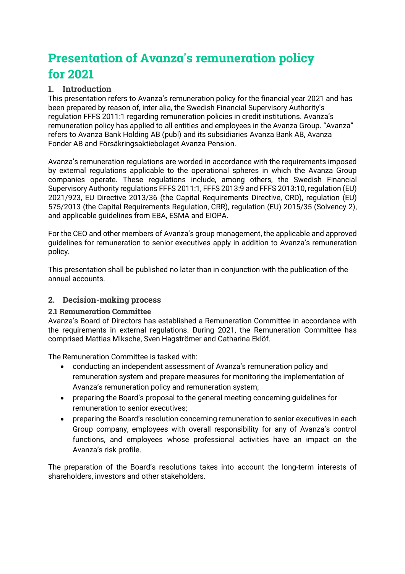# **Presentation of Avanza's remuneration policy for 2021**

# **1. Introduction**

This presentation refers to Avanza's remuneration policy for the financial year 2021 and has been prepared by reason of, inter alia, the Swedish Financial Supervisory Authority's regulation FFFS 2011:1 regarding remuneration policies in credit institutions. Avanza's remuneration policy has applied to all entities and employees in the Avanza Group. "Avanza" refers to Avanza Bank Holding AB (publ) and its subsidiaries Avanza Bank AB, Avanza Fonder AB and Försäkringsaktiebolaget Avanza Pension.

Avanza's remuneration regulations are worded in accordance with the requirements imposed by external regulations applicable to the operational spheres in which the Avanza Group companies operate. These regulations include, among others, the Swedish Financial Supervisory Authority regulations FFFS 2011:1, FFFS 2013:9 and FFFS 2013:10, regulation (EU) 2021/923, EU Directive 2013/36 (the Capital Requirements Directive, CRD), regulation (EU) 575/2013 (the Capital Requirements Regulation, CRR), regulation (EU) 2015/35 (Solvency 2), and applicable guidelines from EBA, ESMA and EIOPA.

For the CEO and other members of Avanza's group management, the applicable and approved guidelines for remuneration to senior executives apply in addition to Avanza's remuneration policy.

This presentation shall be published no later than in conjunction with the publication of the annual accounts.

# **2. Decision-making process**

## **2.1 Remuneration Committee**

Avanza's Board of Directors has established a Remuneration Committee in accordance with the requirements in external regulations. During 2021, the Remuneration Committee has comprised Mattias Miksche, Sven Hagströmer and Catharina Eklöf.

The Remuneration Committee is tasked with:

- conducting an independent assessment of Avanza's remuneration policy and remuneration system and prepare measures for monitoring the implementation of Avanza's remuneration policy and remuneration system;
- preparing the Board's proposal to the general meeting concerning guidelines for remuneration to senior executives;
- preparing the Board's resolution concerning remuneration to senior executives in each Group company, employees with overall responsibility for any of Avanza's control functions, and employees whose professional activities have an impact on the Avanza's risk profile.

The preparation of the Board's resolutions takes into account the long-term interests of shareholders, investors and other stakeholders.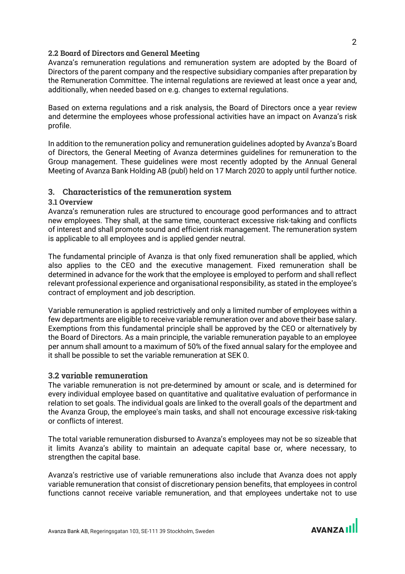#### **2.2 Board of Directors and General Meeting**

Avanza's remuneration regulations and remuneration system are adopted by the Board of Directors of the parent company and the respective subsidiary companies after preparation by the Remuneration Committee. The internal regulations are reviewed at least once a year and, additionally, when needed based on e.g. changes to external regulations.

Based on externa regulations and a risk analysis, the Board of Directors once a year review and determine the employees whose professional activities have an impact on Avanza's risk profile.

In addition to the remuneration policy and remuneration guidelines adopted by Avanza's Board of Directors, the General Meeting of Avanza determines guidelines for remuneration to the Group management. These guidelines were most recently adopted by the Annual General Meeting of Avanza Bank Holding AB (publ) held on 17 March 2020 to apply until further notice.

#### **3. Characteristics of the remuneration system**

#### **3.1 Overview**

Avanza's remuneration rules are structured to encourage good performances and to attract new employees. They shall, at the same time, counteract excessive risk-taking and conflicts of interest and shall promote sound and efficient risk management. The remuneration system is applicable to all employees and is applied gender neutral.

The fundamental principle of Avanza is that only fixed remuneration shall be applied, which also applies to the CEO and the executive management. Fixed remuneration shall be determined in advance for the work that the employee is employed to perform and shall reflect relevant professional experience and organisational responsibility, as stated in the employee's contract of employment and job description.

Variable remuneration is applied restrictively and only a limited number of employees within a few departments are eligible to receive variable remuneration over and above their base salary. Exemptions from this fundamental principle shall be approved by the CEO or alternatively by the Board of Directors. As a main principle, the variable remuneration payable to an employee per annum shall amount to a maximum of 50% of the fixed annual salary for the employee and it shall be possible to set the variable remuneration at SEK 0.

#### **3.2 variable remuneration**

The variable remuneration is not pre-determined by amount or scale, and is determined for every individual employee based on quantitative and qualitative evaluation of performance in relation to set goals. The individual goals are linked to the overall goals of the department and the Avanza Group, the employee's main tasks, and shall not encourage excessive risk-taking or conflicts of interest.

The total variable remuneration disbursed to Avanza's employees may not be so sizeable that it limits Avanza's ability to maintain an adequate capital base or, where necessary, to strengthen the capital base.

Avanza's restrictive use of variable remunerations also include that Avanza does not apply variable remuneration that consist of discretionary pension benefits, that employees in control functions cannot receive variable remuneration, and that employees undertake not to use